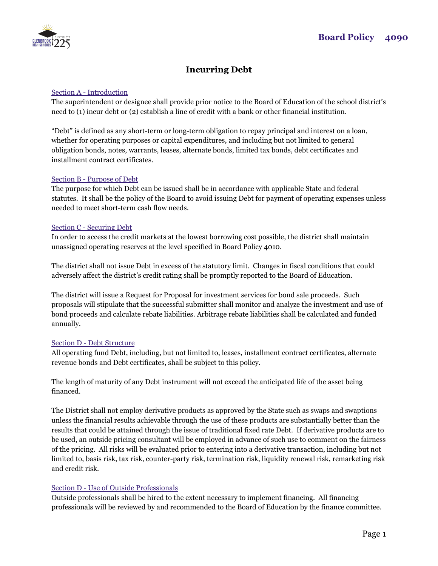

# **Incurring Debt**

## Section A - Introduction

The superintendent or designee shall provide prior notice to the Board of Education of the school district's need to (1) incur debt or (2) establish a line of credit with a bank or other financial institution.

"Debt" is defined as any short-term or long-term obligation to repay principal and interest on a loan, whether for operating purposes or capital expenditures, and including but not limited to general obligation bonds, notes, warrants, leases, alternate bonds, limited tax bonds, debt certificates and installment contract certificates.

## Section B - Purpose of Debt

The purpose for which Debt can be issued shall be in accordance with applicable State and federal statutes. It shall be the policy of the Board to avoid issuing Debt for payment of operating expenses unless needed to meet short-term cash flow needs.

#### Section C - Securing Debt

In order to access the credit markets at the lowest borrowing cost possible, the district shall maintain unassigned operating reserves at the level specified in Board Policy 4010.

The district shall not issue Debt in excess of the statutory limit. Changes in fiscal conditions that could adversely affect the district's credit rating shall be promptly reported to the Board of Education.

The district will issue a Request for Proposal for investment services for bond sale proceeds. Such proposals will stipulate that the successful submitter shall monitor and analyze the investment and use of bond proceeds and calculate rebate liabilities. Arbitrage rebate liabilities shall be calculated and funded annually.

## Section D - Debt Structure

All operating fund Debt, including, but not limited to, leases, installment contract certificates, alternate revenue bonds and Debt certificates, shall be subject to this policy.

The length of maturity of any Debt instrument will not exceed the anticipated life of the asset being financed.

The District shall not employ derivative products as approved by the State such as swaps and swaptions unless the financial results achievable through the use of these products are substantially better than the results that could be attained through the issue of traditional fixed rate Debt. If derivative products are to be used, an outside pricing consultant will be employed in advance of such use to comment on the fairness of the pricing. All risks will be evaluated prior to entering into a derivative transaction, including but not limited to, basis risk, tax risk, counter-party risk, termination risk, liquidity renewal risk, remarketing risk and credit risk.

## Section D - Use of Outside Professionals

Outside professionals shall be hired to the extent necessary to implement financing. All financing professionals will be reviewed by and recommended to the Board of Education by the finance committee.